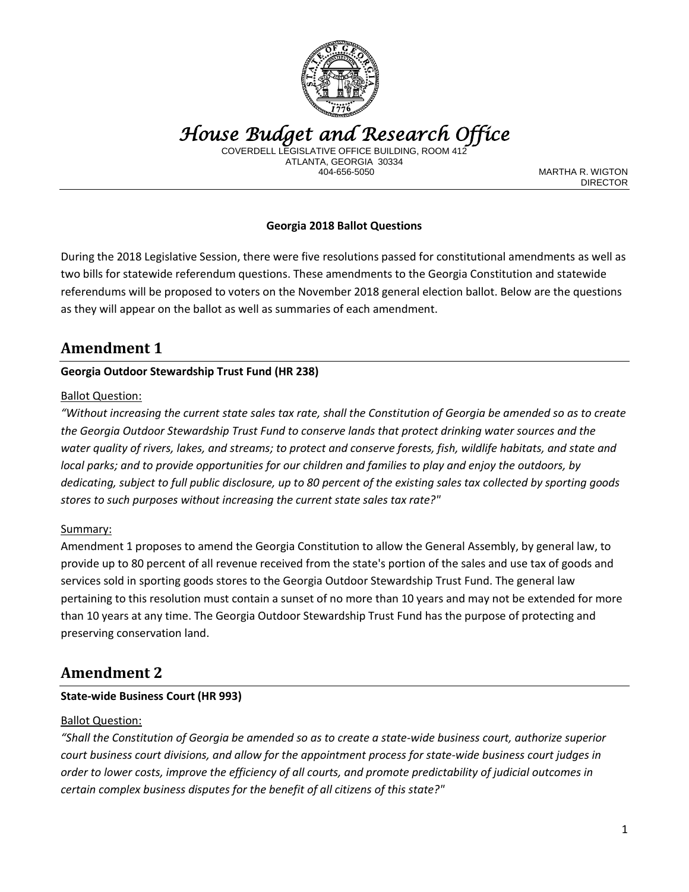

*House Budget and Research Office* 

COVERDELL LEGISLATIVE OFFICE BUILDING, ROO ATLANTA, GEORGIA 30334

MARTHA R. WIGTON DIRECTOR

## **Georgia 2018 Ballot Questions**

During the 2018 Legislative Session, there were five resolutions passed for constitutional amendments as well as two bills for statewide referendum questions. These amendments to the Georgia Constitution and statewide referendums will be proposed to voters on the November 2018 general election ballot. Below are the questions as they will appear on the ballot as well as summaries of each amendment.

## **Amendment 1**

#### **Georgia Outdoor Stewardship Trust Fund (HR 238)**

#### Ballot Question:

*"Without increasing the current state sales tax rate, shall the Constitution of Georgia be amended so as to create the Georgia Outdoor Stewardship Trust Fund to conserve lands that protect drinking water sources and the water quality of rivers, lakes, and streams; to protect and conserve forests, fish, wildlife habitats, and state and local parks; and to provide opportunities for our children and families to play and enjoy the outdoors, by dedicating, subject to full public disclosure, up to 80 percent of the existing sales tax collected by sporting goods stores to such purposes without increasing the current state sales tax rate?"*

#### Summary:

Amendment 1 proposes to amend the Georgia Constitution to allow the General Assembly, by general law, to provide up to 80 percent of all revenue received from the state's portion of the sales and use tax of goods and services sold in sporting goods stores to the Georgia Outdoor Stewardship Trust Fund. The general law pertaining to this resolution must contain a sunset of no more than 10 years and may not be extended for more than 10 years at any time. The Georgia Outdoor Stewardship Trust Fund has the purpose of protecting and preserving conservation land.

## **Amendment 2**

#### **State-wide Business Court (HR 993)**

#### Ballot Question:

*"Shall the Constitution of Georgia be amended so as to create a state-wide business court, authorize superior court business court divisions, and allow for the appointment process for state-wide business court judges in order to lower costs, improve the efficiency of all courts, and promote predictability of judicial outcomes in certain complex business disputes for the benefit of all citizens of this state?"*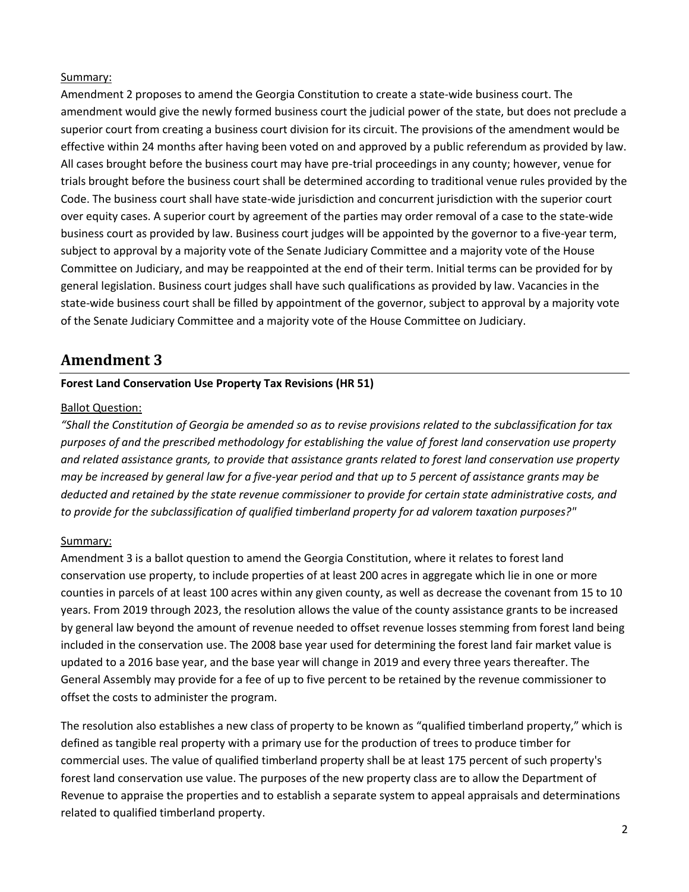#### Summary:

Amendment 2 proposes to amend the Georgia Constitution to create a state-wide business court. The amendment would give the newly formed business court the judicial power of the state, but does not preclude a superior court from creating a business court division for its circuit. The provisions of the amendment would be effective within 24 months after having been voted on and approved by a public referendum as provided by law. All cases brought before the business court may have pre-trial proceedings in any county; however, venue for trials brought before the business court shall be determined according to traditional venue rules provided by the Code. The business court shall have state-wide jurisdiction and concurrent jurisdiction with the superior court over equity cases. A superior court by agreement of the parties may order removal of a case to the state-wide business court as provided by law. Business court judges will be appointed by the governor to a five-year term, subject to approval by a majority vote of the Senate Judiciary Committee and a majority vote of the House Committee on Judiciary, and may be reappointed at the end of their term. Initial terms can be provided for by general legislation. Business court judges shall have such qualifications as provided by law. Vacancies in the state-wide business court shall be filled by appointment of the governor, subject to approval by a majority vote of the Senate Judiciary Committee and a majority vote of the House Committee on Judiciary.

## **Amendment 3**

#### **Forest Land Conservation Use Property Tax Revisions (HR 51)**

#### Ballot Question:

*"Shall the Constitution of Georgia be amended so as to revise provisions related to the subclassification for tax purposes of and the prescribed methodology for establishing the value of forest land conservation use property and related assistance grants, to provide that assistance grants related to forest land conservation use property may be increased by general law for a five-year period and that up to 5 percent of assistance grants may be deducted and retained by the state revenue commissioner to provide for certain state administrative costs, and to provide for the subclassification of qualified timberland property for ad valorem taxation purposes?"*

#### Summary:

Amendment 3 is a ballot question to amend the Georgia Constitution, where it relates to forest land conservation use property, to include properties of at least 200 acres in aggregate which lie in one or more counties in parcels of at least 100 acres within any given county, as well as decrease the covenant from 15 to 10 years. From 2019 through 2023, the resolution allows the value of the county assistance grants to be increased by general law beyond the amount of revenue needed to offset revenue losses stemming from forest land being included in the conservation use. The 2008 base year used for determining the forest land fair market value is updated to a 2016 base year, and the base year will change in 2019 and every three years thereafter. The General Assembly may provide for a fee of up to five percent to be retained by the revenue commissioner to offset the costs to administer the program.

The resolution also establishes a new class of property to be known as "qualified timberland property," which is defined as tangible real property with a primary use for the production of trees to produce timber for commercial uses. The value of qualified timberland property shall be at least 175 percent of such property's forest land conservation use value. The purposes of the new property class are to allow the Department of Revenue to appraise the properties and to establish a separate system to appeal appraisals and determinations related to qualified timberland property.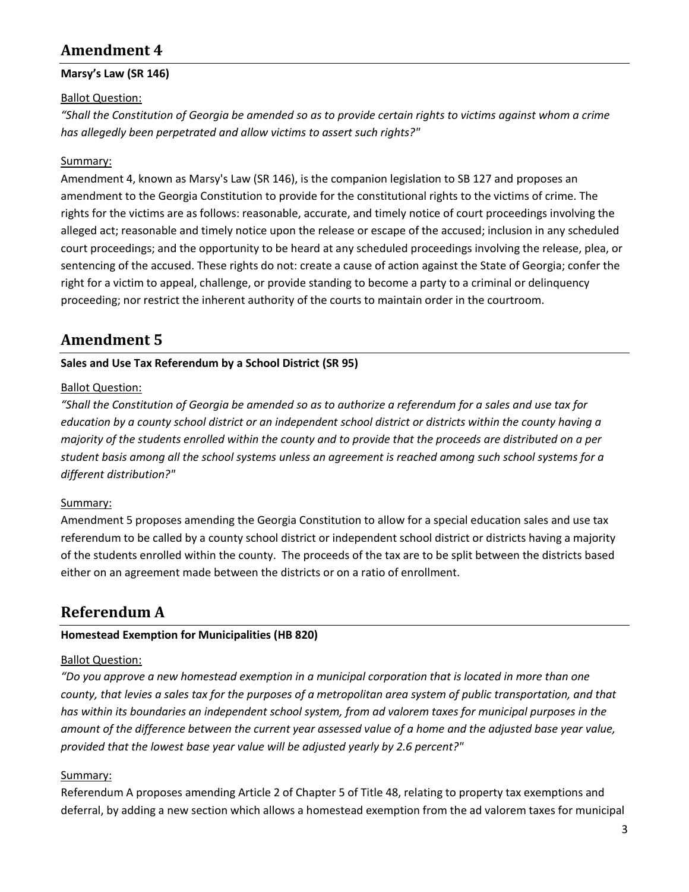# **Amendment 4**

#### **Marsy's Law (SR 146)**

#### **Ballot Question:**

*"Shall the Constitution of Georgia be amended so as to provide certain rights to victims against whom a crime has allegedly been perpetrated and allow victims to assert such rights?"*

#### Summary:

Amendment 4, known as Marsy's Law (SR 146), is the companion legislation to SB 127 and proposes an amendment to the Georgia Constitution to provide for the constitutional rights to the victims of crime. The rights for the victims are as follows: reasonable, accurate, and timely notice of court proceedings involving the alleged act; reasonable and timely notice upon the release or escape of the accused; inclusion in any scheduled court proceedings; and the opportunity to be heard at any scheduled proceedings involving the release, plea, or sentencing of the accused. These rights do not: create a cause of action against the State of Georgia; confer the right for a victim to appeal, challenge, or provide standing to become a party to a criminal or delinquency proceeding; nor restrict the inherent authority of the courts to maintain order in the courtroom.

## **Amendment 5**

#### **Sales and Use Tax Referendum by a School District (SR 95)**

#### Ballot Question:

*"Shall the Constitution of Georgia be amended so as to authorize a referendum for a sales and use tax for education by a county school district or an independent school district or districts within the county having a majority of the students enrolled within the county and to provide that the proceeds are distributed on a per student basis among all the school systems unless an agreement is reached among such school systems for a different distribution?"*

#### Summary:

Amendment 5 proposes amending the Georgia Constitution to allow for a special education sales and use tax referendum to be called by a county school district or independent school district or districts having a majority of the students enrolled within the county. The proceeds of the tax are to be split between the districts based either on an agreement made between the districts or on a ratio of enrollment.

# **Referendum A**

## **Homestead Exemption for Municipalities (HB 820)**

#### Ballot Question:

*"Do you approve a new homestead exemption in a municipal corporation that is located in more than one county, that levies a sales tax for the purposes of a metropolitan area system of public transportation, and that has within its boundaries an independent school system, from ad valorem taxes for municipal purposes in the amount of the difference between the current year assessed value of a home and the adjusted base year value, provided that the lowest base year value will be adjusted yearly by 2.6 percent?"*

#### Summary:

Referendum A proposes amending Article 2 of Chapter 5 of Title 48, relating to property tax exemptions and deferral, by adding a new section which allows a homestead exemption from the ad valorem taxes for municipal